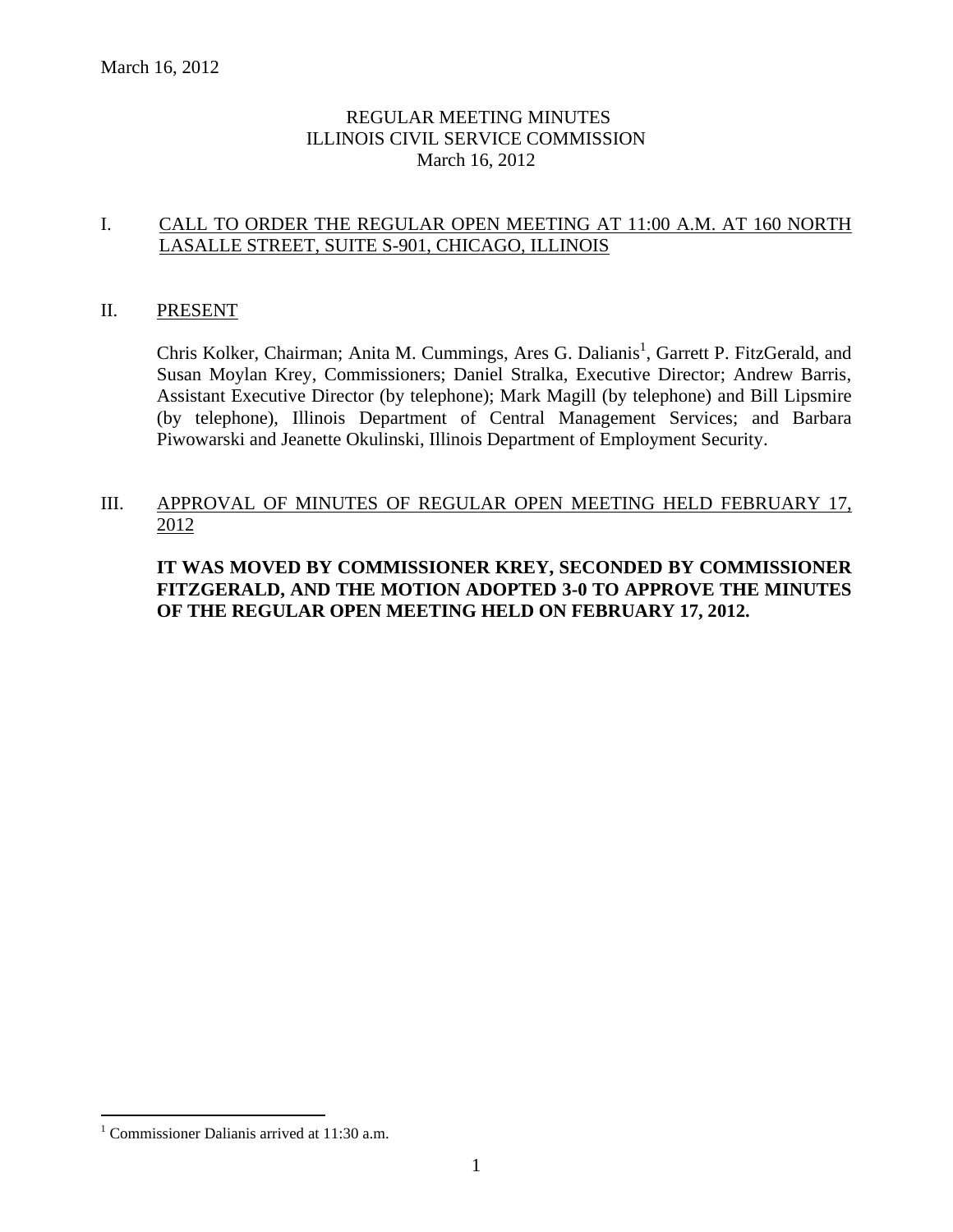# REGULAR MEETING MINUTES ILLINOIS CIVIL SERVICE COMMISSION March 16, 2012

# I. CALL TO ORDER THE REGULAR OPEN MEETING AT 11:00 A.M. AT 160 NORTH LASALLE STREET, SUITE S-901, CHICAGO, ILLINOIS

# II. PRESENT

Chris Kolker, Chairman; Anita M. Cummings, Ares G. Dalianis<sup>1</sup>, Garrett P. FitzGerald, and Susan Moylan Krey, Commissioners; Daniel Stralka, Executive Director; Andrew Barris, Assistant Executive Director (by telephone); Mark Magill (by telephone) and Bill Lipsmire (by telephone), Illinois Department of Central Management Services; and Barbara Piwowarski and Jeanette Okulinski, Illinois Department of Employment Security.

# III. APPROVAL OF MINUTES OF REGULAR OPEN MEETING HELD FEBRUARY 17, 2012

**IT WAS MOVED BY COMMISSIONER KREY, SECONDED BY COMMISSIONER FITZGERALD, AND THE MOTION ADOPTED 3-0 TO APPROVE THE MINUTES OF THE REGULAR OPEN MEETING HELD ON FEBRUARY 17, 2012.**

 $\overline{a}$ 

<sup>&</sup>lt;sup>1</sup> Commissioner Dalianis arrived at  $11:30$  a.m.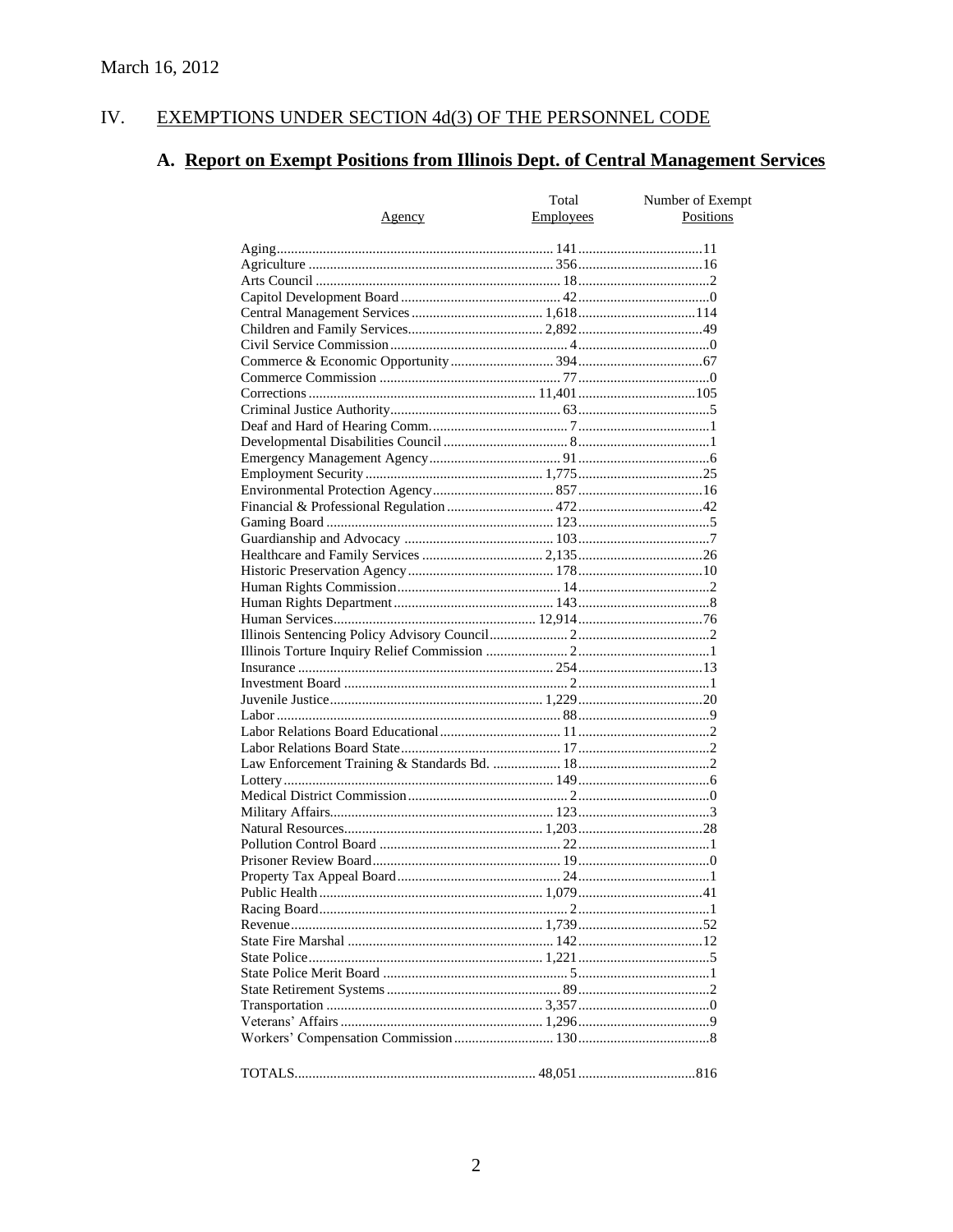#### EXEMPTIONS UNDER SECTION 4d(3) OF THE PERSONNEL CODE IV.

# A. Report on Exempt Positions from Illinois Dept. of Central Management Services

|        | Total            | Number of Exempt<br>Positions |
|--------|------------------|-------------------------------|
| Agency | <b>Employees</b> |                               |
|        |                  |                               |
|        |                  |                               |
|        |                  |                               |
|        |                  |                               |
|        |                  |                               |
|        |                  |                               |
|        |                  |                               |
|        |                  |                               |
|        |                  |                               |
|        |                  |                               |
|        |                  |                               |
|        |                  |                               |
|        |                  |                               |
|        |                  |                               |
|        |                  |                               |
|        |                  |                               |
|        |                  |                               |
|        |                  |                               |
|        |                  |                               |
|        |                  |                               |
|        |                  |                               |
|        |                  |                               |
|        |                  |                               |
|        |                  |                               |
|        |                  |                               |
|        |                  |                               |
|        |                  |                               |
|        |                  |                               |
|        |                  |                               |
|        |                  |                               |
|        |                  |                               |
|        |                  |                               |
|        |                  |                               |
|        |                  |                               |
|        |                  |                               |
|        |                  |                               |
|        |                  |                               |
|        |                  |                               |
|        |                  |                               |
|        |                  |                               |
|        |                  |                               |
|        |                  |                               |
|        |                  |                               |
|        |                  |                               |
|        |                  |                               |
|        |                  |                               |
|        |                  |                               |
|        |                  |                               |
|        |                  |                               |
|        |                  |                               |
|        |                  |                               |
|        |                  |                               |
|        |                  |                               |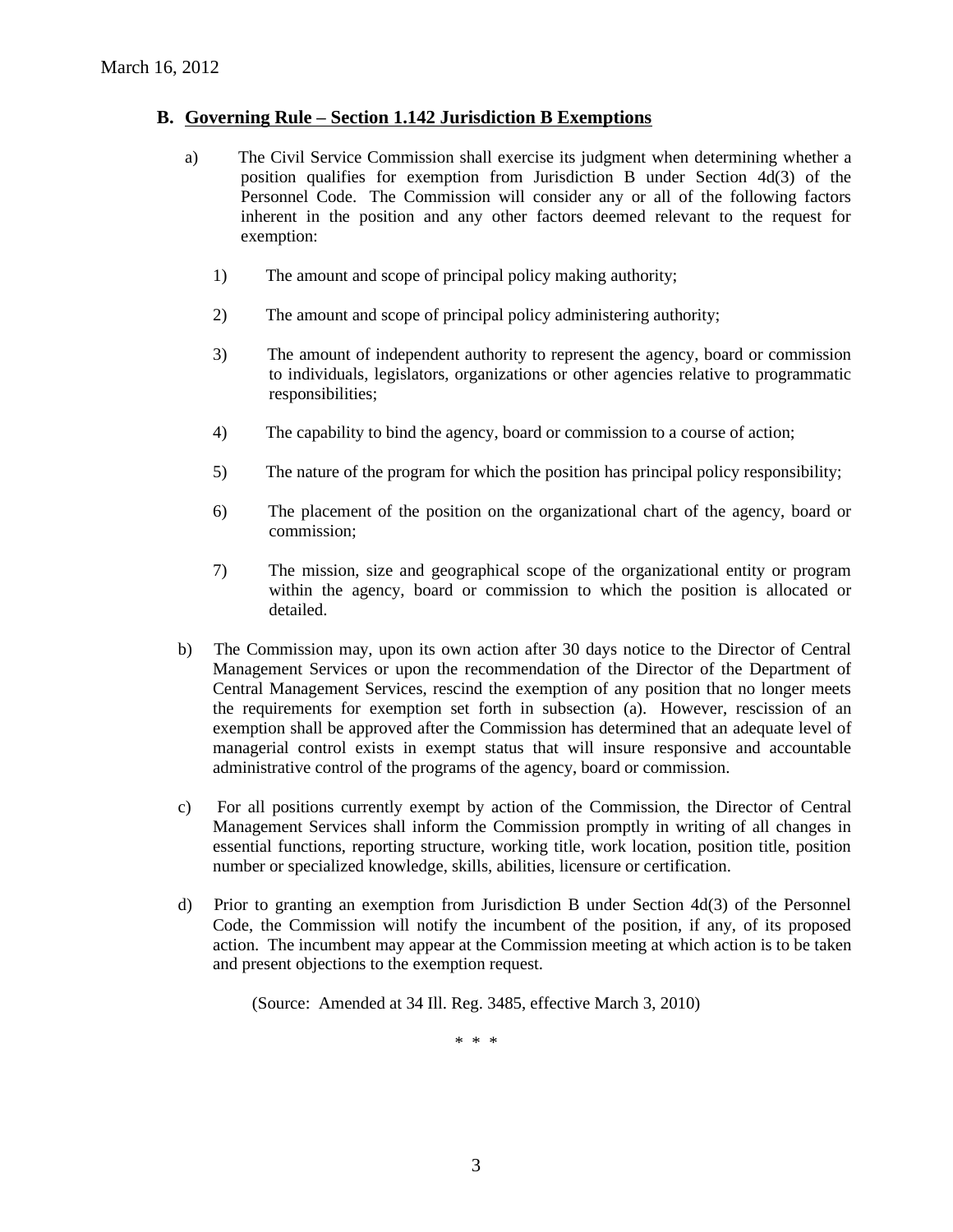# **B. Governing Rule – Section 1.142 Jurisdiction B Exemptions**

- a) The Civil Service Commission shall exercise its judgment when determining whether a position qualifies for exemption from Jurisdiction B under Section 4d(3) of the Personnel Code. The Commission will consider any or all of the following factors inherent in the position and any other factors deemed relevant to the request for exemption:
	- 1) The amount and scope of principal policy making authority;
	- 2) The amount and scope of principal policy administering authority;
	- 3) The amount of independent authority to represent the agency, board or commission to individuals, legislators, organizations or other agencies relative to programmatic responsibilities;
	- 4) The capability to bind the agency, board or commission to a course of action;
	- 5) The nature of the program for which the position has principal policy responsibility;
	- 6) The placement of the position on the organizational chart of the agency, board or commission;
	- 7) The mission, size and geographical scope of the organizational entity or program within the agency, board or commission to which the position is allocated or detailed.
- b) The Commission may, upon its own action after 30 days notice to the Director of Central Management Services or upon the recommendation of the Director of the Department of Central Management Services, rescind the exemption of any position that no longer meets the requirements for exemption set forth in subsection (a). However, rescission of an exemption shall be approved after the Commission has determined that an adequate level of managerial control exists in exempt status that will insure responsive and accountable administrative control of the programs of the agency, board or commission.
- c) For all positions currently exempt by action of the Commission, the Director of Central Management Services shall inform the Commission promptly in writing of all changes in essential functions, reporting structure, working title, work location, position title, position number or specialized knowledge, skills, abilities, licensure or certification.
- d) Prior to granting an exemption from Jurisdiction B under Section 4d(3) of the Personnel Code, the Commission will notify the incumbent of the position, if any, of its proposed action. The incumbent may appear at the Commission meeting at which action is to be taken and present objections to the exemption request.

(Source: Amended at 34 Ill. Reg. 3485, effective March 3, 2010)

\* \* \*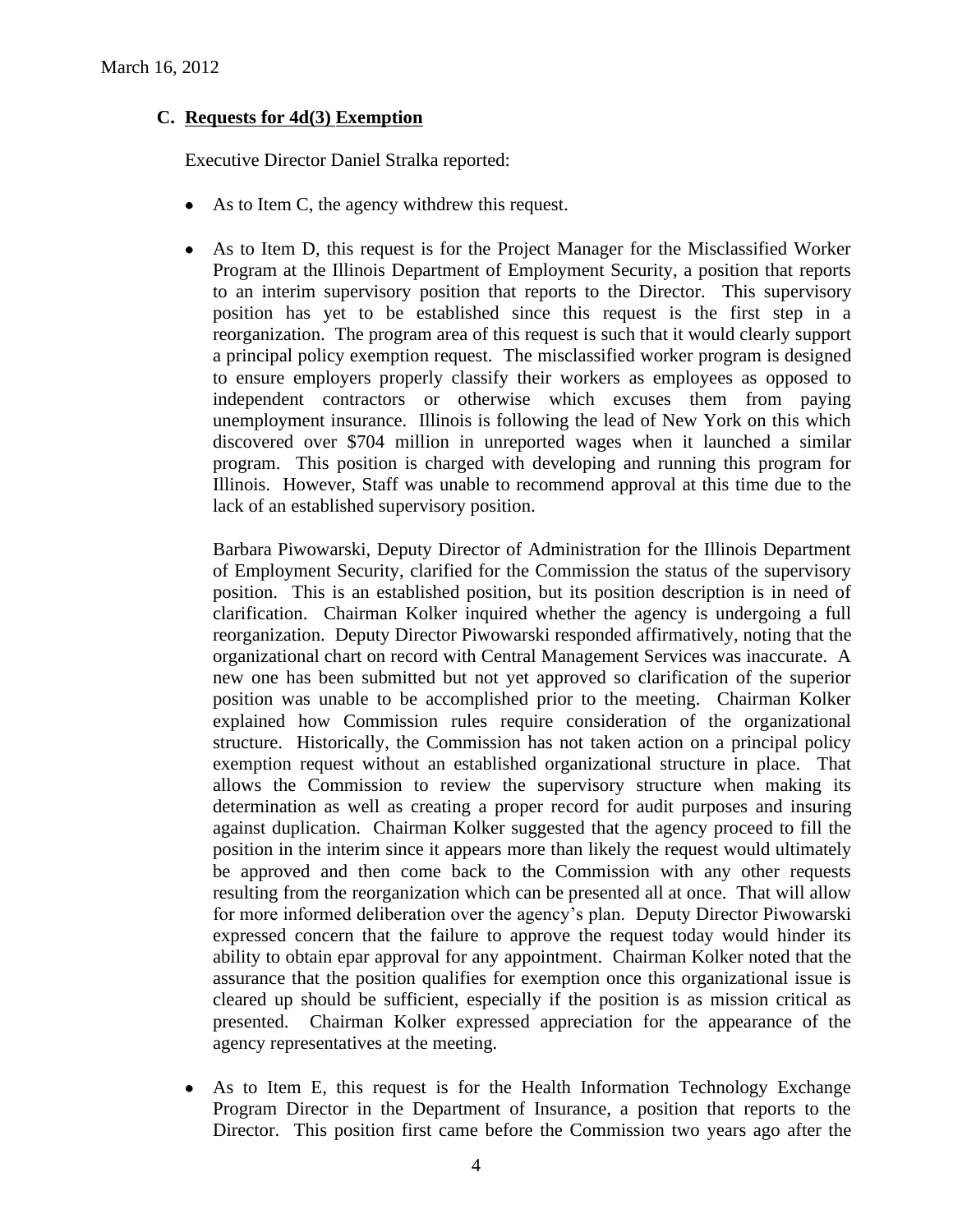# **C. Requests for 4d(3) Exemption**

Executive Director Daniel Stralka reported:

- $\bullet$ As to Item C, the agency withdrew this request.
- As to Item D, this request is for the Project Manager for the Misclassified Worker Program at the Illinois Department of Employment Security, a position that reports to an interim supervisory position that reports to the Director. This supervisory position has yet to be established since this request is the first step in a reorganization. The program area of this request is such that it would clearly support a principal policy exemption request. The misclassified worker program is designed to ensure employers properly classify their workers as employees as opposed to independent contractors or otherwise which excuses them from paying unemployment insurance. Illinois is following the lead of New York on this which discovered over \$704 million in unreported wages when it launched a similar program. This position is charged with developing and running this program for Illinois. However, Staff was unable to recommend approval at this time due to the lack of an established supervisory position.

Barbara Piwowarski, Deputy Director of Administration for the Illinois Department of Employment Security, clarified for the Commission the status of the supervisory position. This is an established position, but its position description is in need of clarification. Chairman Kolker inquired whether the agency is undergoing a full reorganization. Deputy Director Piwowarski responded affirmatively, noting that the organizational chart on record with Central Management Services was inaccurate. A new one has been submitted but not yet approved so clarification of the superior position was unable to be accomplished prior to the meeting. Chairman Kolker explained how Commission rules require consideration of the organizational structure. Historically, the Commission has not taken action on a principal policy exemption request without an established organizational structure in place. That allows the Commission to review the supervisory structure when making its determination as well as creating a proper record for audit purposes and insuring against duplication. Chairman Kolker suggested that the agency proceed to fill the position in the interim since it appears more than likely the request would ultimately be approved and then come back to the Commission with any other requests resulting from the reorganization which can be presented all at once. That will allow for more informed deliberation over the agency's plan. Deputy Director Piwowarski expressed concern that the failure to approve the request today would hinder its ability to obtain epar approval for any appointment. Chairman Kolker noted that the assurance that the position qualifies for exemption once this organizational issue is cleared up should be sufficient, especially if the position is as mission critical as presented. Chairman Kolker expressed appreciation for the appearance of the agency representatives at the meeting.

As to Item E, this request is for the Health Information Technology Exchange Program Director in the Department of Insurance, a position that reports to the Director. This position first came before the Commission two years ago after the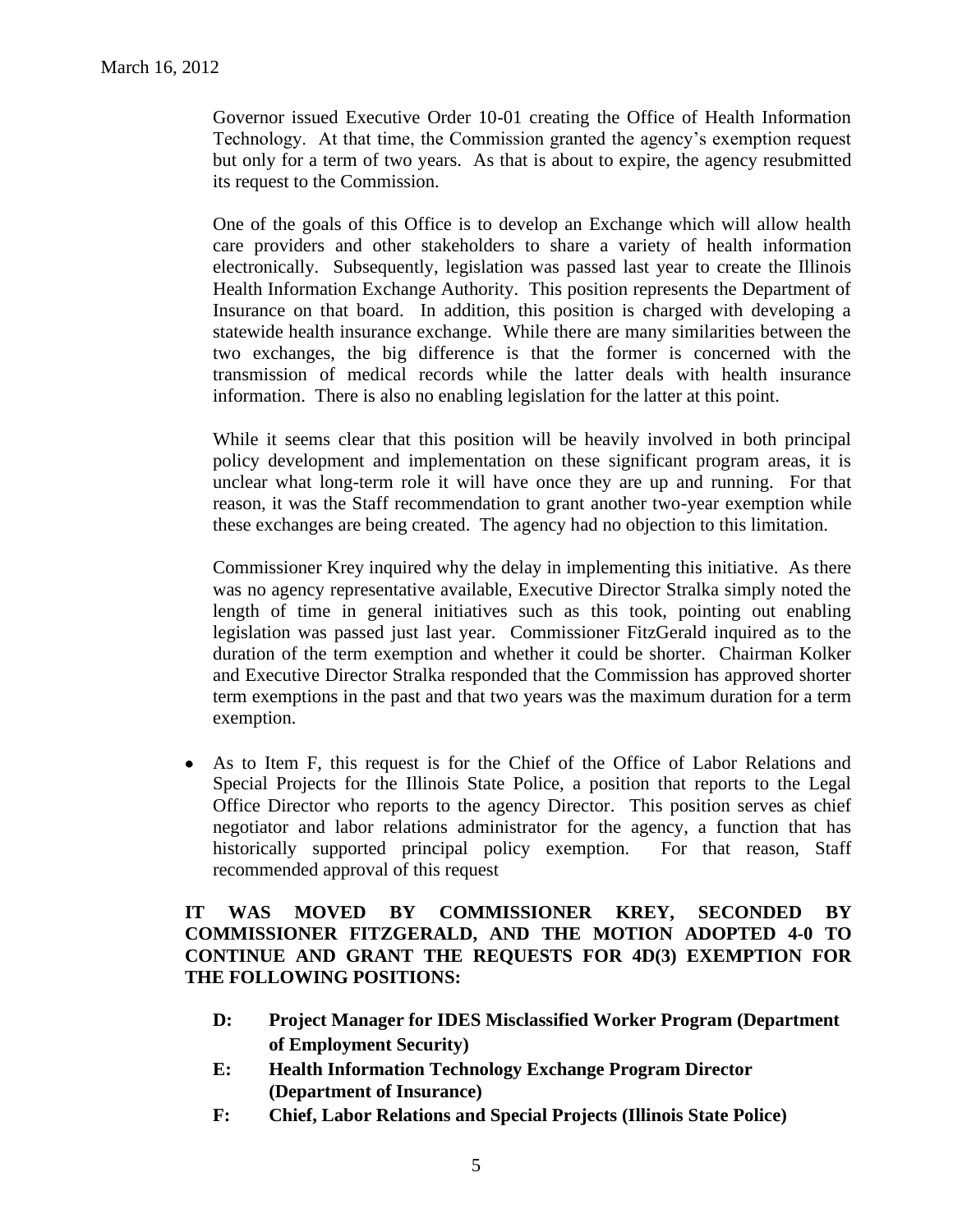Governor issued Executive Order 10-01 creating the Office of Health Information Technology. At that time, the Commission granted the agency's exemption request but only for a term of two years. As that is about to expire, the agency resubmitted its request to the Commission.

One of the goals of this Office is to develop an Exchange which will allow health care providers and other stakeholders to share a variety of health information electronically. Subsequently, legislation was passed last year to create the Illinois Health Information Exchange Authority. This position represents the Department of Insurance on that board. In addition, this position is charged with developing a statewide health insurance exchange. While there are many similarities between the two exchanges, the big difference is that the former is concerned with the transmission of medical records while the latter deals with health insurance information. There is also no enabling legislation for the latter at this point.

While it seems clear that this position will be heavily involved in both principal policy development and implementation on these significant program areas, it is unclear what long-term role it will have once they are up and running. For that reason, it was the Staff recommendation to grant another two-year exemption while these exchanges are being created. The agency had no objection to this limitation.

Commissioner Krey inquired why the delay in implementing this initiative. As there was no agency representative available, Executive Director Stralka simply noted the length of time in general initiatives such as this took, pointing out enabling legislation was passed just last year. Commissioner FitzGerald inquired as to the duration of the term exemption and whether it could be shorter. Chairman Kolker and Executive Director Stralka responded that the Commission has approved shorter term exemptions in the past and that two years was the maximum duration for a term exemption.

As to Item F, this request is for the Chief of the Office of Labor Relations and  $\bullet$ Special Projects for the Illinois State Police, a position that reports to the Legal Office Director who reports to the agency Director. This position serves as chief negotiator and labor relations administrator for the agency, a function that has historically supported principal policy exemption. For that reason, Staff recommended approval of this request

# **IT WAS MOVED BY COMMISSIONER KREY, SECONDED BY COMMISSIONER FITZGERALD, AND THE MOTION ADOPTED 4-0 TO CONTINUE AND GRANT THE REQUESTS FOR 4D(3) EXEMPTION FOR THE FOLLOWING POSITIONS:**

- **D: Project Manager for IDES Misclassified Worker Program (Department of Employment Security)**
- **E: Health Information Technology Exchange Program Director (Department of Insurance)**
- **F: Chief, Labor Relations and Special Projects (Illinois State Police)**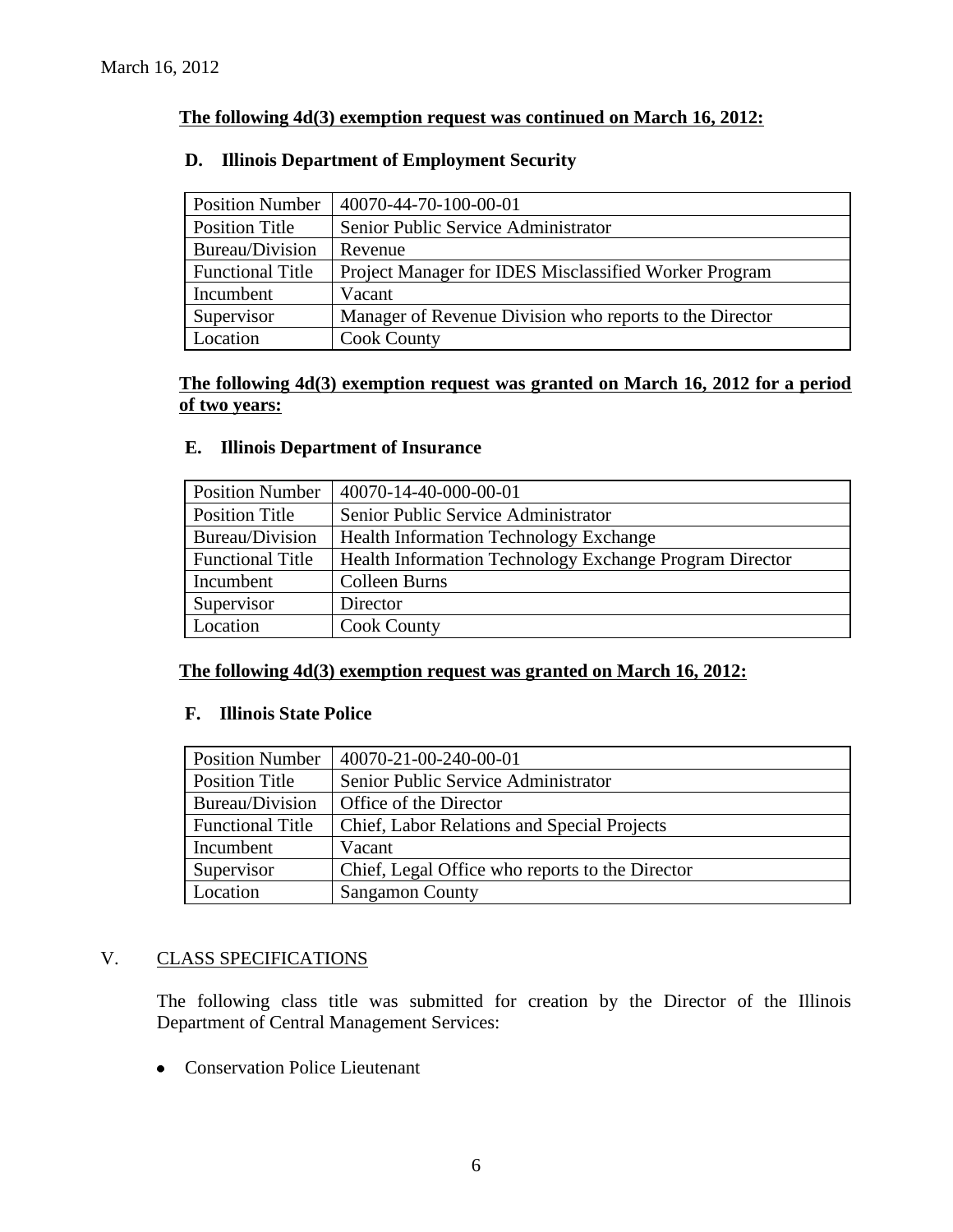# **The following 4d(3) exemption request was continued on March 16, 2012:**

# **D. Illinois Department of Employment Security**

| <b>Position Number</b>  | 40070-44-70-100-00-01                                   |
|-------------------------|---------------------------------------------------------|
| <b>Position Title</b>   | Senior Public Service Administrator                     |
| Bureau/Division         | Revenue                                                 |
| <b>Functional Title</b> | Project Manager for IDES Misclassified Worker Program   |
| Incumbent               | Vacant                                                  |
| Supervisor              | Manager of Revenue Division who reports to the Director |
| Location                | <b>Cook County</b>                                      |

# **The following 4d(3) exemption request was granted on March 16, 2012 for a period of two years:**

#### **E. Illinois Department of Insurance**

| <b>Position Number</b>  | 40070-14-40-000-00-01                                   |
|-------------------------|---------------------------------------------------------|
| Position Title          | Senior Public Service Administrator                     |
| Bureau/Division         | <b>Health Information Technology Exchange</b>           |
| <b>Functional Title</b> | Health Information Technology Exchange Program Director |
| Incumbent               | Colleen Burns                                           |
| Supervisor              | Director                                                |
| Location                | <b>Cook County</b>                                      |

#### **The following 4d(3) exemption request was granted on March 16, 2012:**

# **F. Illinois State Police**

| <b>Position Number</b>  | 40070-21-00-240-00-01                              |
|-------------------------|----------------------------------------------------|
| <b>Position Title</b>   | Senior Public Service Administrator                |
| Bureau/Division         | Office of the Director                             |
| <b>Functional Title</b> | <b>Chief, Labor Relations and Special Projects</b> |
| Incumbent               | Vacant                                             |
| Supervisor              | Chief, Legal Office who reports to the Director    |
| Location                | <b>Sangamon County</b>                             |

# V. CLASS SPECIFICATIONS

The following class title was submitted for creation by the Director of the Illinois Department of Central Management Services:

• Conservation Police Lieutenant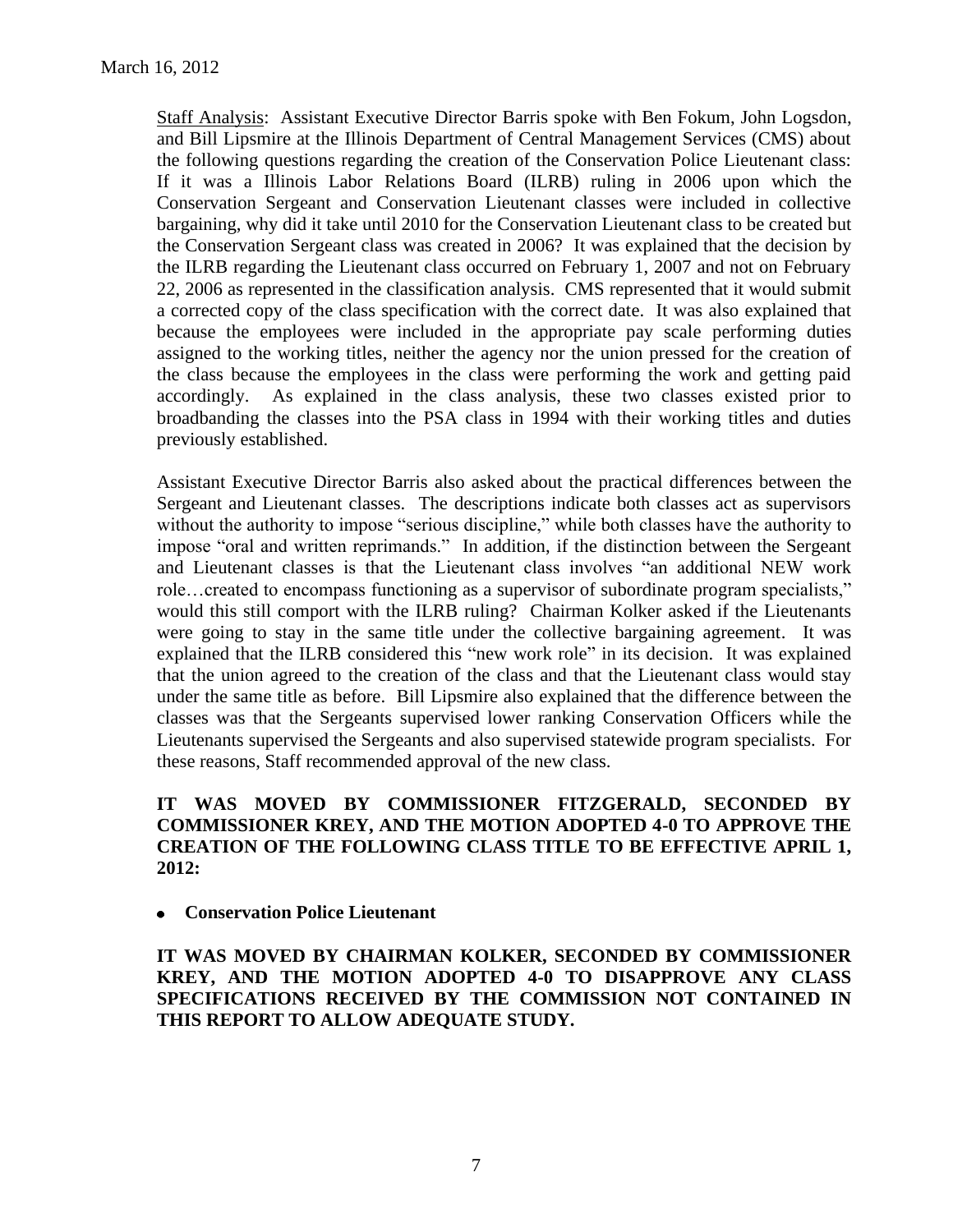Staff Analysis: Assistant Executive Director Barris spoke with Ben Fokum, John Logsdon, and Bill Lipsmire at the Illinois Department of Central Management Services (CMS) about the following questions regarding the creation of the Conservation Police Lieutenant class: If it was a Illinois Labor Relations Board (ILRB) ruling in 2006 upon which the Conservation Sergeant and Conservation Lieutenant classes were included in collective bargaining, why did it take until 2010 for the Conservation Lieutenant class to be created but the Conservation Sergeant class was created in 2006? It was explained that the decision by the ILRB regarding the Lieutenant class occurred on February 1, 2007 and not on February 22, 2006 as represented in the classification analysis. CMS represented that it would submit a corrected copy of the class specification with the correct date. It was also explained that because the employees were included in the appropriate pay scale performing duties assigned to the working titles, neither the agency nor the union pressed for the creation of the class because the employees in the class were performing the work and getting paid accordingly. As explained in the class analysis, these two classes existed prior to broadbanding the classes into the PSA class in 1994 with their working titles and duties previously established.

Assistant Executive Director Barris also asked about the practical differences between the Sergeant and Lieutenant classes. The descriptions indicate both classes act as supervisors without the authority to impose "serious discipline," while both classes have the authority to impose "oral and written reprimands." In addition, if the distinction between the Sergeant and Lieutenant classes is that the Lieutenant class involves "an additional NEW work role…created to encompass functioning as a supervisor of subordinate program specialists," would this still comport with the ILRB ruling? Chairman Kolker asked if the Lieutenants were going to stay in the same title under the collective bargaining agreement. It was explained that the ILRB considered this "new work role" in its decision. It was explained that the union agreed to the creation of the class and that the Lieutenant class would stay under the same title as before. Bill Lipsmire also explained that the difference between the classes was that the Sergeants supervised lower ranking Conservation Officers while the Lieutenants supervised the Sergeants and also supervised statewide program specialists. For these reasons, Staff recommended approval of the new class.

# **IT WAS MOVED BY COMMISSIONER FITZGERALD, SECONDED BY COMMISSIONER KREY, AND THE MOTION ADOPTED 4-0 TO APPROVE THE CREATION OF THE FOLLOWING CLASS TITLE TO BE EFFECTIVE APRIL 1, 2012:**

**Conservation Police Lieutenant**

**IT WAS MOVED BY CHAIRMAN KOLKER, SECONDED BY COMMISSIONER KREY, AND THE MOTION ADOPTED 4-0 TO DISAPPROVE ANY CLASS SPECIFICATIONS RECEIVED BY THE COMMISSION NOT CONTAINED IN THIS REPORT TO ALLOW ADEQUATE STUDY.**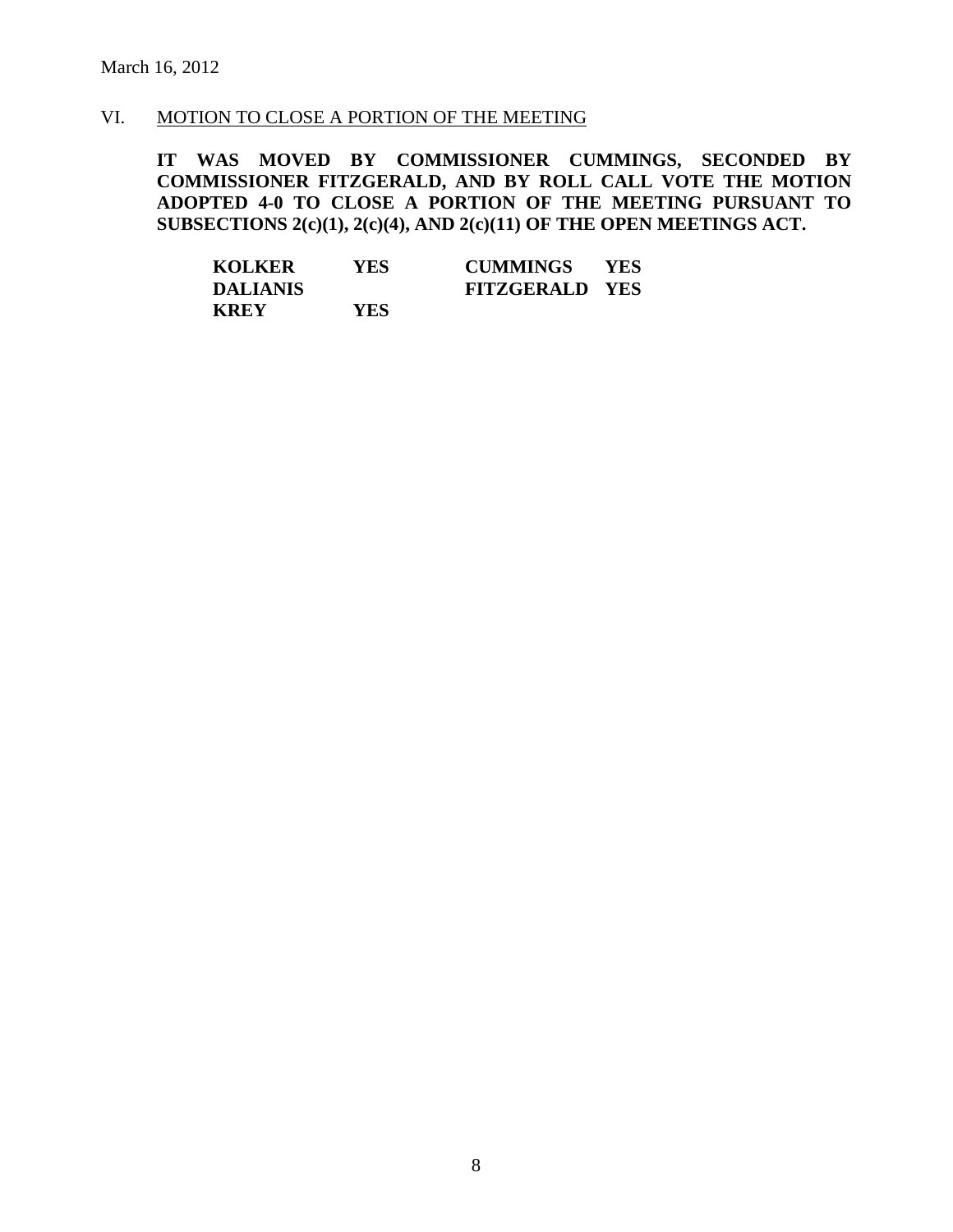#### VI. MOTION TO CLOSE A PORTION OF THE MEETING

**IT WAS MOVED BY COMMISSIONER CUMMINGS, SECONDED BY COMMISSIONER FITZGERALD, AND BY ROLL CALL VOTE THE MOTION ADOPTED 4-0 TO CLOSE A PORTION OF THE MEETING PURSUANT TO SUBSECTIONS 2(c)(1), 2(c)(4), AND 2(c)(11) OF THE OPEN MEETINGS ACT.**

| <b>KOLKER</b> | YES | <b>CUMMINGS</b>       | - YES |  |
|---------------|-----|-----------------------|-------|--|
| DALIANIS      |     | <b>FITZGERALD YES</b> |       |  |
| <b>KREY</b>   | YES |                       |       |  |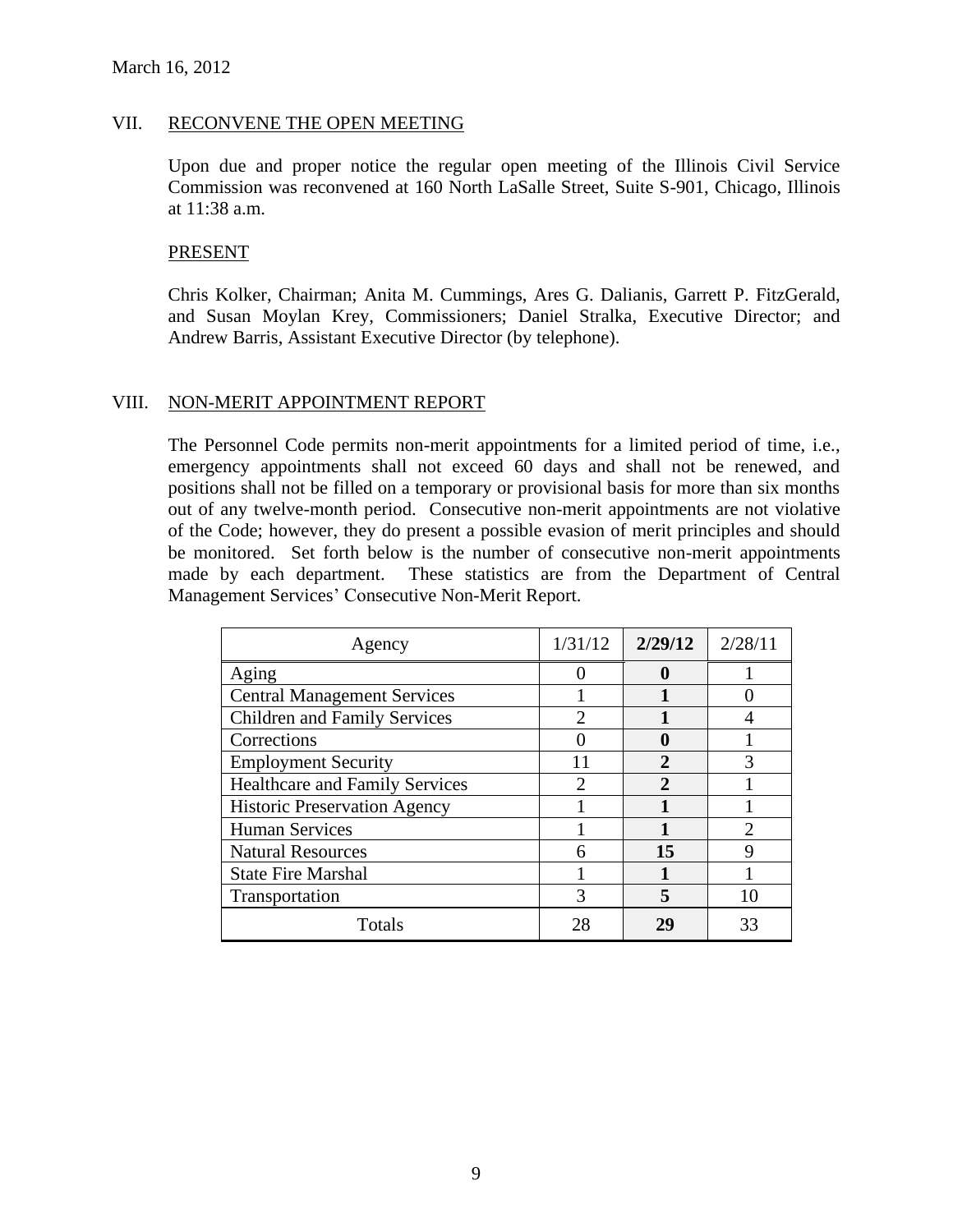#### VII. RECONVENE THE OPEN MEETING

Upon due and proper notice the regular open meeting of the Illinois Civil Service Commission was reconvened at 160 North LaSalle Street, Suite S-901, Chicago, Illinois at 11:38 a.m.

#### PRESENT

Chris Kolker, Chairman; Anita M. Cummings, Ares G. Dalianis, Garrett P. FitzGerald, and Susan Moylan Krey, Commissioners; Daniel Stralka, Executive Director; and Andrew Barris, Assistant Executive Director (by telephone).

### VIII. NON-MERIT APPOINTMENT REPORT

The Personnel Code permits non-merit appointments for a limited period of time, i.e., emergency appointments shall not exceed 60 days and shall not be renewed, and positions shall not be filled on a temporary or provisional basis for more than six months out of any twelve-month period. Consecutive non-merit appointments are not violative of the Code; however, they do present a possible evasion of merit principles and should be monitored. Set forth below is the number of consecutive non-merit appointments made by each department. These statistics are from the Department of Central Management Services' Consecutive Non-Merit Report.

| Agency                                | 1/31/12                     | 2/29/12     | 2/28/11       |
|---------------------------------------|-----------------------------|-------------|---------------|
| Aging                                 |                             | 0           |               |
| <b>Central Management Services</b>    |                             |             |               |
| <b>Children and Family Services</b>   | $\mathcal{D}_{\mathcal{L}}$ |             |               |
| Corrections                           |                             |             |               |
| <b>Employment Security</b>            |                             | $\mathbf 2$ | 3             |
| <b>Healthcare and Family Services</b> | $\mathfrak{D}_{\cdot}$      | 2           |               |
| <b>Historic Preservation Agency</b>   |                             |             |               |
| <b>Human Services</b>                 |                             |             | $\mathcal{D}$ |
| <b>Natural Resources</b>              |                             | 15          |               |
| <b>State Fire Marshal</b>             |                             |             |               |
| Transportation                        | 3                           | 5           | 10            |
| Totals                                |                             | 29          | 33            |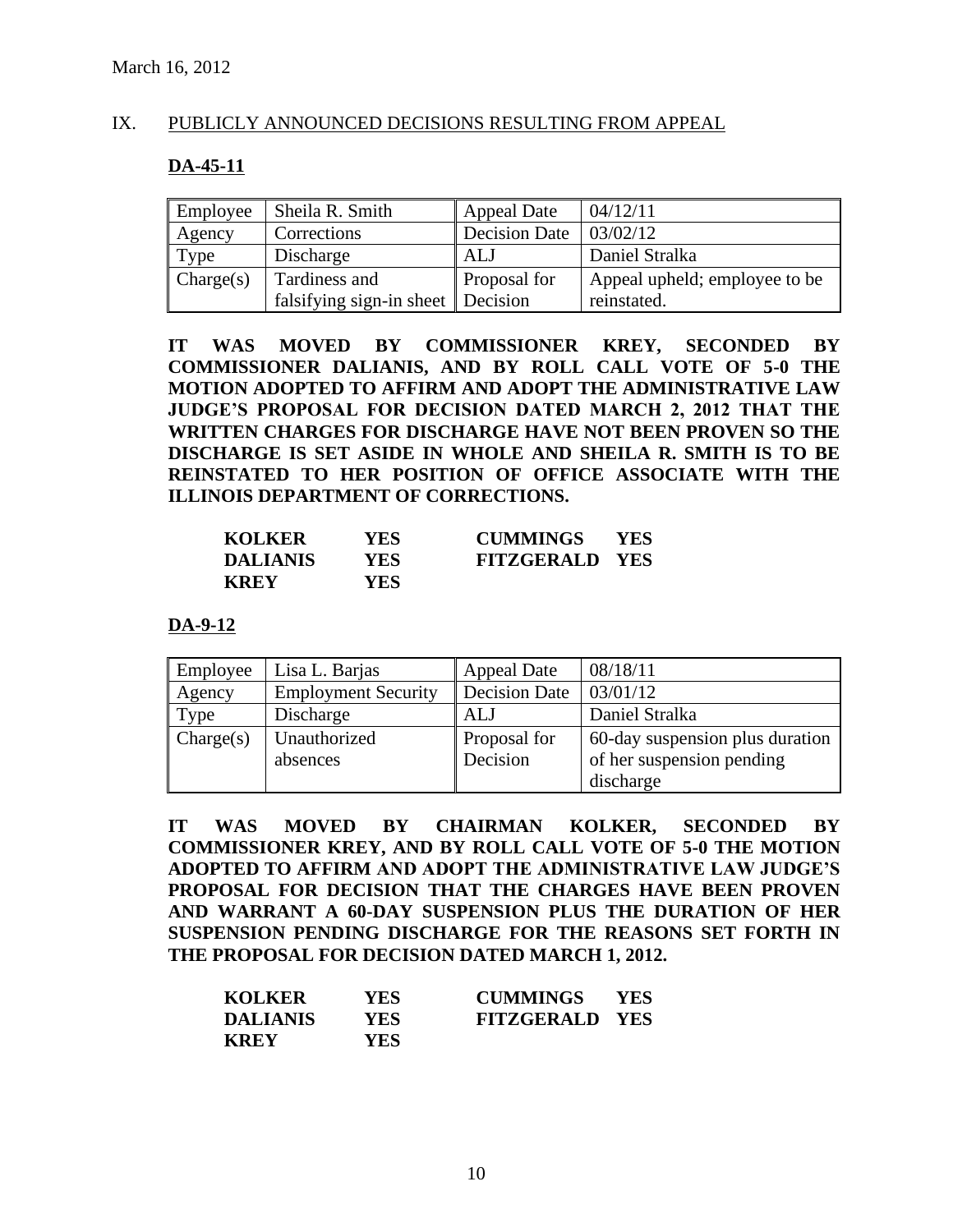# IX. PUBLICLY ANNOUNCED DECISIONS RESULTING FROM APPEAL

# **DA-45-11**

| Employee  | Sheila R. Smith                               | Appeal Date         | 04/12/11                      |
|-----------|-----------------------------------------------|---------------------|-------------------------------|
| Agency    | Corrections                                   | Decision Date       | 03/02/12                      |
| Type      | Discharge                                     | ALJ                 | Daniel Stralka                |
| Change(s) | Tardiness and                                 | <b>Proposal for</b> | Appeal upheld; employee to be |
|           | falsifying sign-in sheet $\parallel$ Decision |                     | reinstated.                   |

**IT WAS MOVED BY COMMISSIONER KREY, SECONDED BY COMMISSIONER DALIANIS, AND BY ROLL CALL VOTE OF 5-0 THE MOTION ADOPTED TO AFFIRM AND ADOPT THE ADMINISTRATIVE LAW JUDGE'S PROPOSAL FOR DECISION DATED MARCH 2, 2012 THAT THE WRITTEN CHARGES FOR DISCHARGE HAVE NOT BEEN PROVEN SO THE DISCHARGE IS SET ASIDE IN WHOLE AND SHEILA R. SMITH IS TO BE REINSTATED TO HER POSITION OF OFFICE ASSOCIATE WITH THE ILLINOIS DEPARTMENT OF CORRECTIONS.**

| <b>KOLKER</b>   | YES  | <b>CUMMINGS</b>       | <b>YES</b> |
|-----------------|------|-----------------------|------------|
| <b>DALIANIS</b> | YES  | <b>FITZGERALD YES</b> |            |
| <b>KREY</b>     | YES- |                       |            |

**DA-9-12**

| Employee  | Lisa L. Barjas             | <b>Appeal Date</b>   | 08/18/11                                    |
|-----------|----------------------------|----------------------|---------------------------------------------|
| Agency    | <b>Employment Security</b> | <b>Decision Date</b> | 03/01/12                                    |
| Type      | Discharge                  | ALJ                  | Daniel Stralka                              |
| Change(s) | Unauthorized               | Proposal for         | 60-day suspension plus duration $\parallel$ |
|           | absences                   | Decision             | of her suspension pending                   |
|           |                            |                      | discharge                                   |

**IT WAS MOVED BY CHAIRMAN KOLKER, SECONDED BY COMMISSIONER KREY, AND BY ROLL CALL VOTE OF 5-0 THE MOTION ADOPTED TO AFFIRM AND ADOPT THE ADMINISTRATIVE LAW JUDGE'S PROPOSAL FOR DECISION THAT THE CHARGES HAVE BEEN PROVEN AND WARRANT A 60-DAY SUSPENSION PLUS THE DURATION OF HER SUSPENSION PENDING DISCHARGE FOR THE REASONS SET FORTH IN THE PROPOSAL FOR DECISION DATED MARCH 1, 2012.**

| <b>KOLKER</b>   | YES        | <b>CUMMINGS</b>       | <b>YES</b> |
|-----------------|------------|-----------------------|------------|
| <b>DALIANIS</b> | <b>YES</b> | <b>FITZGERALD YES</b> |            |
| <b>KREY</b>     | YES.       |                       |            |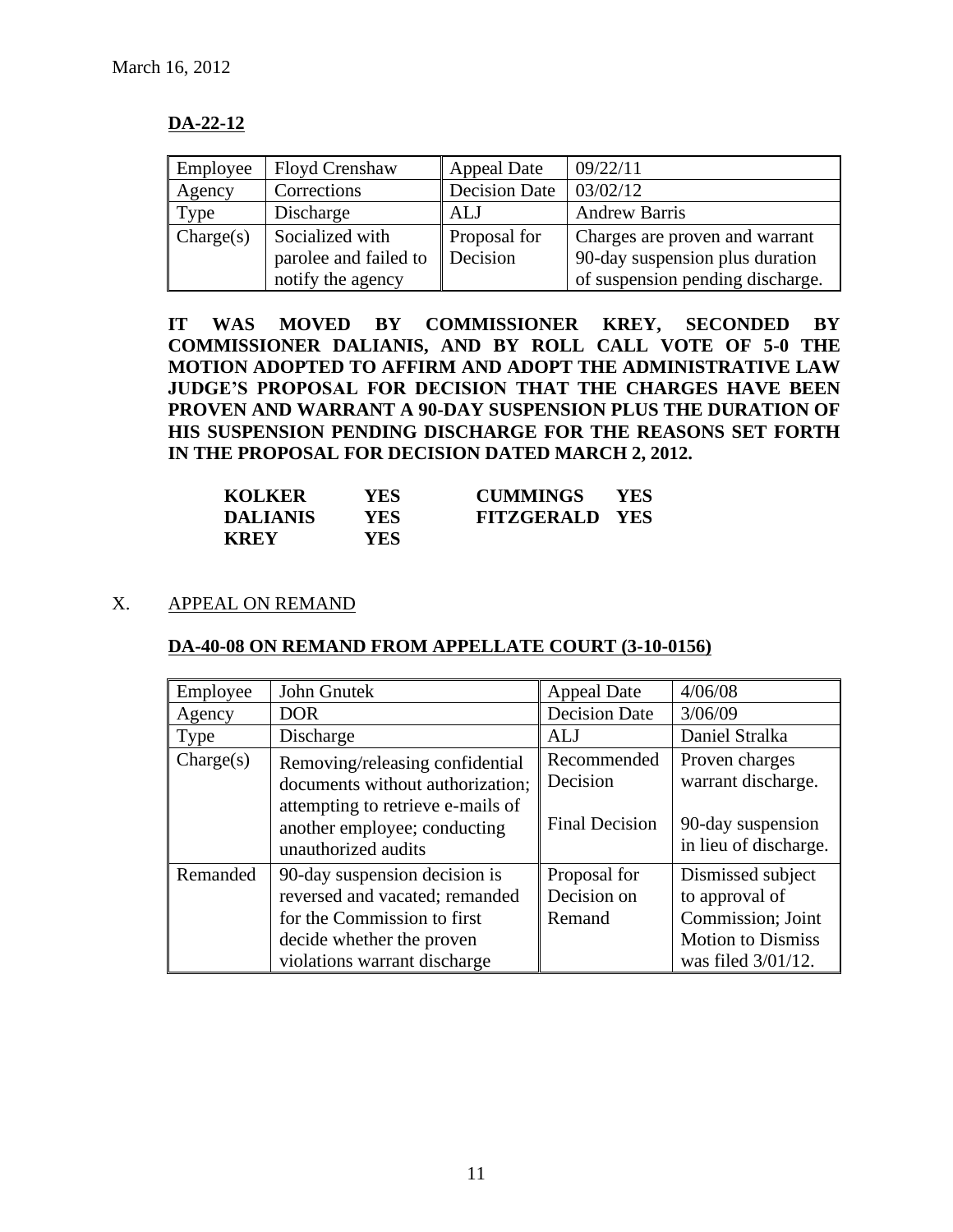# **DA-22-12**

| Employee  | <b>Floyd Crenshaw</b> | <b>Appeal Date</b>   | 09/22/11                         |
|-----------|-----------------------|----------------------|----------------------------------|
| Agency    | Corrections           | <b>Decision Date</b> | 03/02/12                         |
| Type      | Discharge             | <b>ALJ</b>           | <b>Andrew Barris</b>             |
| Change(s) | Socialized with       | Proposal for         | Charges are proven and warrant   |
|           | parolee and failed to | Decision             | 90-day suspension plus duration  |
|           | notify the agency     |                      | of suspension pending discharge. |

**IT WAS MOVED BY COMMISSIONER KREY, SECONDED BY COMMISSIONER DALIANIS, AND BY ROLL CALL VOTE OF 5-0 THE MOTION ADOPTED TO AFFIRM AND ADOPT THE ADMINISTRATIVE LAW JUDGE'S PROPOSAL FOR DECISION THAT THE CHARGES HAVE BEEN PROVEN AND WARRANT A 90-DAY SUSPENSION PLUS THE DURATION OF HIS SUSPENSION PENDING DISCHARGE FOR THE REASONS SET FORTH IN THE PROPOSAL FOR DECISION DATED MARCH 2, 2012.**

| <b>KOLKER</b>   | YES- | <b>CUMMINGS</b>       | <b>YES</b> |
|-----------------|------|-----------------------|------------|
| <b>DALIANIS</b> | YES. | <b>FITZGERALD YES</b> |            |
| <b>KREY</b>     | YES- |                       |            |

# X. APPEAL ON REMAND

# **DA-40-08 ON REMAND FROM APPELLATE COURT (3-10-0156)**

| Employee           | John Gnutek                                                                                                                                                     | <b>Appeal Date</b>                               | 4/06/08                                                                                                       |
|--------------------|-----------------------------------------------------------------------------------------------------------------------------------------------------------------|--------------------------------------------------|---------------------------------------------------------------------------------------------------------------|
| Agency             | <b>DOR</b>                                                                                                                                                      | <b>Decision Date</b>                             | 3/06/09                                                                                                       |
| <b>Type</b>        | Discharge                                                                                                                                                       | <b>ALJ</b>                                       | Daniel Stralka                                                                                                |
| $\text{Change}(s)$ | Removing/releasing confidential<br>documents without authorization;<br>attempting to retrieve e-mails of<br>another employee; conducting<br>unauthorized audits | Recommended<br>Decision<br><b>Final Decision</b> | Proven charges<br>warrant discharge.<br>90-day suspension<br>in lieu of discharge.                            |
| Remanded           | 90-day suspension decision is<br>reversed and vacated; remanded<br>for the Commission to first<br>decide whether the proven<br>violations warrant discharge     | Proposal for<br>Decision on<br>Remand            | Dismissed subject<br>to approval of<br>Commission; Joint<br><b>Motion to Dismiss</b><br>was filed $3/01/12$ . |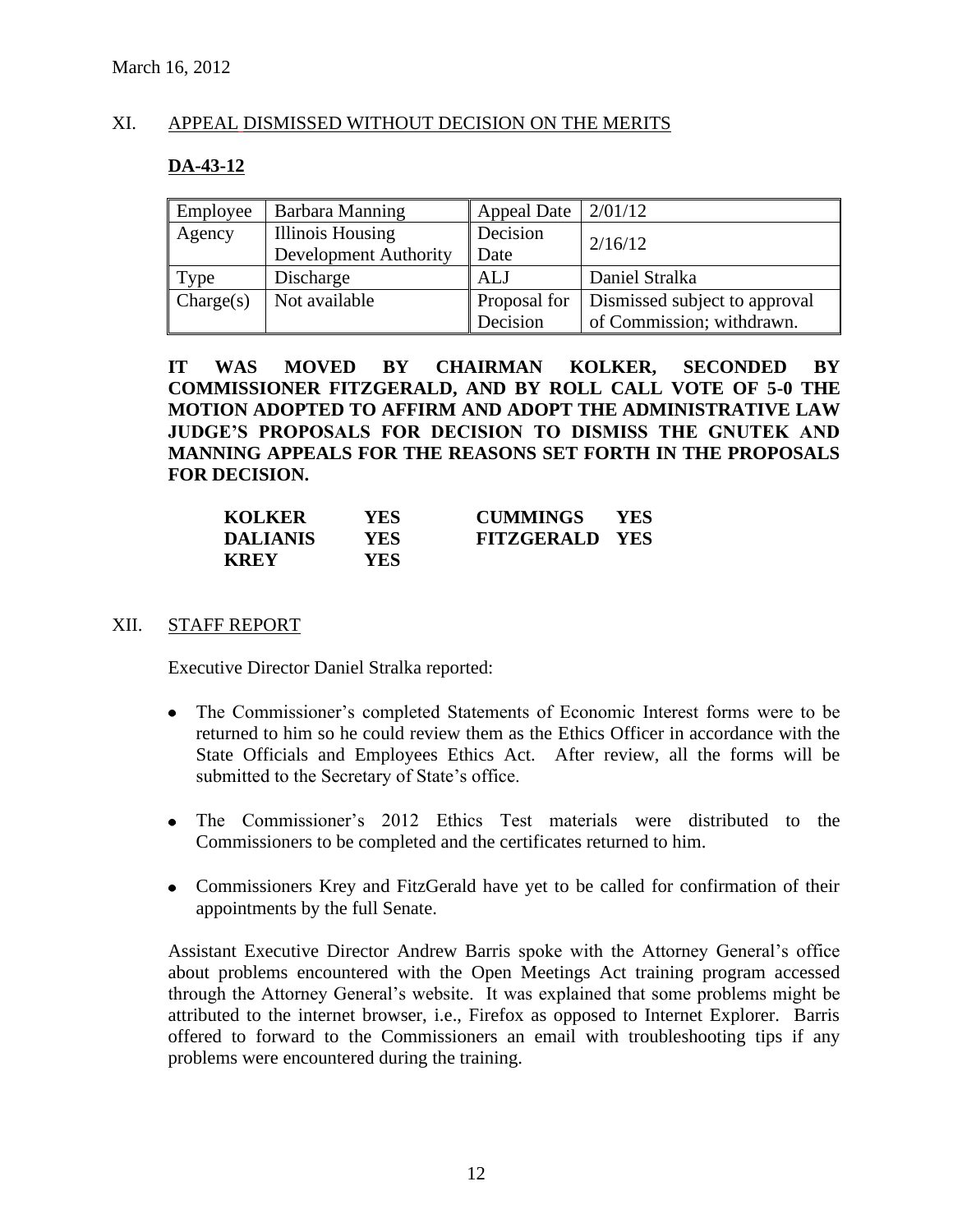# XI. APPEAL DISMISSED WITHOUT DECISION ON THE MERITS

# **DA-43-12**

| Employee  | Barbara Manning              | Appeal Date         | 2/01/12                       |
|-----------|------------------------------|---------------------|-------------------------------|
| Agency    | <b>Illinois Housing</b>      | Decision            | 2/16/12                       |
|           | <b>Development Authority</b> | Date                |                               |
| Type      | Discharge                    | ALJ                 | Daniel Stralka                |
| Change(s) | Not available                | <b>Proposal for</b> | Dismissed subject to approval |
|           |                              | Decision            | of Commission; withdrawn.     |

**IT WAS MOVED BY CHAIRMAN KOLKER, SECONDED BY COMMISSIONER FITZGERALD, AND BY ROLL CALL VOTE OF 5-0 THE MOTION ADOPTED TO AFFIRM AND ADOPT THE ADMINISTRATIVE LAW JUDGE'S PROPOSALS FOR DECISION TO DISMISS THE GNUTEK AND MANNING APPEALS FOR THE REASONS SET FORTH IN THE PROPOSALS FOR DECISION.**

| <b>KOLKER</b>   | YES  | <b>CUMMINGS</b>       | <b>YES</b> |
|-----------------|------|-----------------------|------------|
| <b>DALIANIS</b> | YES. | <b>FITZGERALD YES</b> |            |
| <b>KREY</b>     | YES. |                       |            |

#### XII. STAFF REPORT

Executive Director Daniel Stralka reported:

- The Commissioner's completed Statements of Economic Interest forms were to be returned to him so he could review them as the Ethics Officer in accordance with the State Officials and Employees Ethics Act. After review, all the forms will be submitted to the Secretary of State's office.
- The Commissioner's 2012 Ethics Test materials were distributed to the Commissioners to be completed and the certificates returned to him.
- Commissioners Krey and FitzGerald have yet to be called for confirmation of their appointments by the full Senate.

Assistant Executive Director Andrew Barris spoke with the Attorney General's office about problems encountered with the Open Meetings Act training program accessed through the Attorney General's website. It was explained that some problems might be attributed to the internet browser, i.e., Firefox as opposed to Internet Explorer. Barris offered to forward to the Commissioners an email with troubleshooting tips if any problems were encountered during the training.